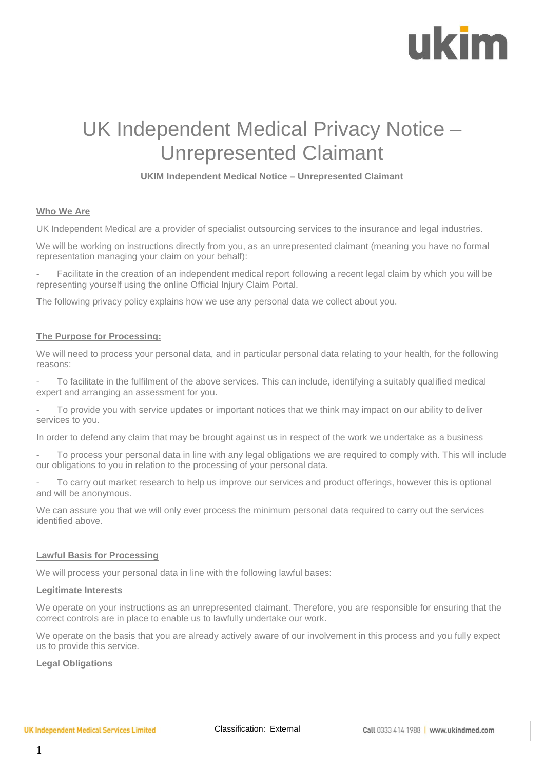# ukim

### UK Independent Medical Privacy Notice – Unrepresented Claimant

#### **UKIM Independent Medical Notice – Unrepresented Claimant**

#### **Who We Are**

UK Independent Medical are a provider of specialist outsourcing services to the insurance and legal industries.

We will be working on instructions directly from you, as an unrepresented claimant (meaning you have no formal representation managing your claim on your behalf):

Facilitate in the creation of an independent medical report following a recent legal claim by which you will be representing yourself using the online Official Injury Claim Portal.

The following privacy policy explains how we use any personal data we collect about you.

#### **The Purpose for Processing:**

We will need to process your personal data, and in particular personal data relating to your health, for the following reasons:

- To facilitate in the fulfilment of the above services. This can include, identifying a suitably qualified medical expert and arranging an assessment for you.

- To provide you with service updates or important notices that we think may impact on our ability to deliver services to you.

In order to defend any claim that may be brought against us in respect of the work we undertake as a business

To process your personal data in line with any legal obligations we are required to comply with. This will include our obligations to you in relation to the processing of your personal data.

To carry out market research to help us improve our services and product offerings, however this is optional and will be anonymous.

We can assure you that we will only ever process the minimum personal data required to carry out the services identified above.

#### **Lawful Basis for Processing**

We will process your personal data in line with the following lawful bases:

#### **Legitimate Interests**

We operate on your instructions as an unrepresented claimant. Therefore, you are responsible for ensuring that the correct controls are in place to enable us to lawfully undertake our work.

We operate on the basis that you are already actively aware of our involvement in this process and you fully expect us to provide this service.

#### **Legal Obligations**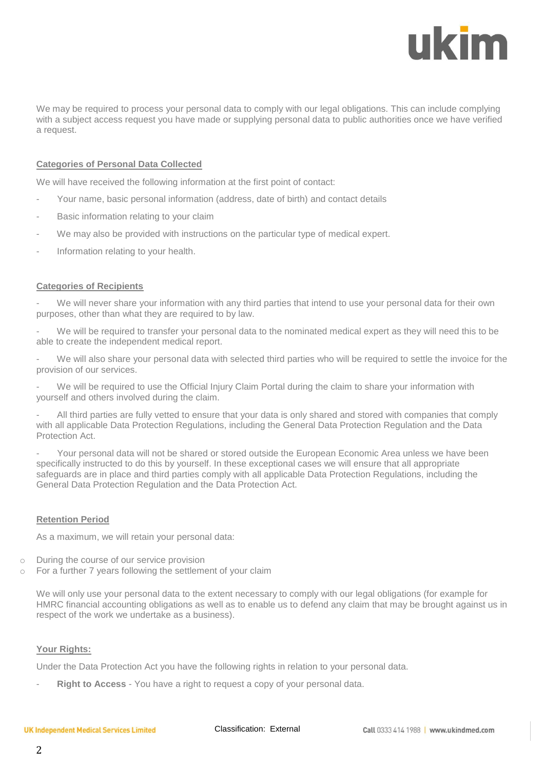## ukim

We may be required to process your personal data to comply with our legal obligations. This can include complying with a subject access request you have made or supplying personal data to public authorities once we have verified a request.

#### **Categories of Personal Data Collected**

We will have received the following information at the first point of contact:

- Your name, basic personal information (address, date of birth) and contact details
- Basic information relating to your claim
- We may also be provided with instructions on the particular type of medical expert.
- Information relating to your health.

#### **Categories of Recipients**

We will never share your information with any third parties that intend to use your personal data for their own purposes, other than what they are required to by law.

We will be required to transfer your personal data to the nominated medical expert as they will need this to be able to create the independent medical report.

We will also share your personal data with selected third parties who will be required to settle the invoice for the provision of our services.

We will be required to use the Official Injury Claim Portal during the claim to share your information with yourself and others involved during the claim.

All third parties are fully vetted to ensure that your data is only shared and stored with companies that comply with all applicable Data Protection Regulations, including the General Data Protection Regulation and the Data Protection Act.

Your personal data will not be shared or stored outside the European Economic Area unless we have been specifically instructed to do this by yourself. In these exceptional cases we will ensure that all appropriate safeguards are in place and third parties comply with all applicable Data Protection Regulations, including the General Data Protection Regulation and the Data Protection Act.

#### **Retention Period**

As a maximum, we will retain your personal data:

- o During the course of our service provision
- o For a further 7 years following the settlement of your claim

We will only use your personal data to the extent necessary to comply with our legal obligations (for example for HMRC financial accounting obligations as well as to enable us to defend any claim that may be brought against us in respect of the work we undertake as a business).

#### **Your Rights:**

Under the Data Protection Act you have the following rights in relation to your personal data.

Right to Access - You have a right to request a copy of your personal data.